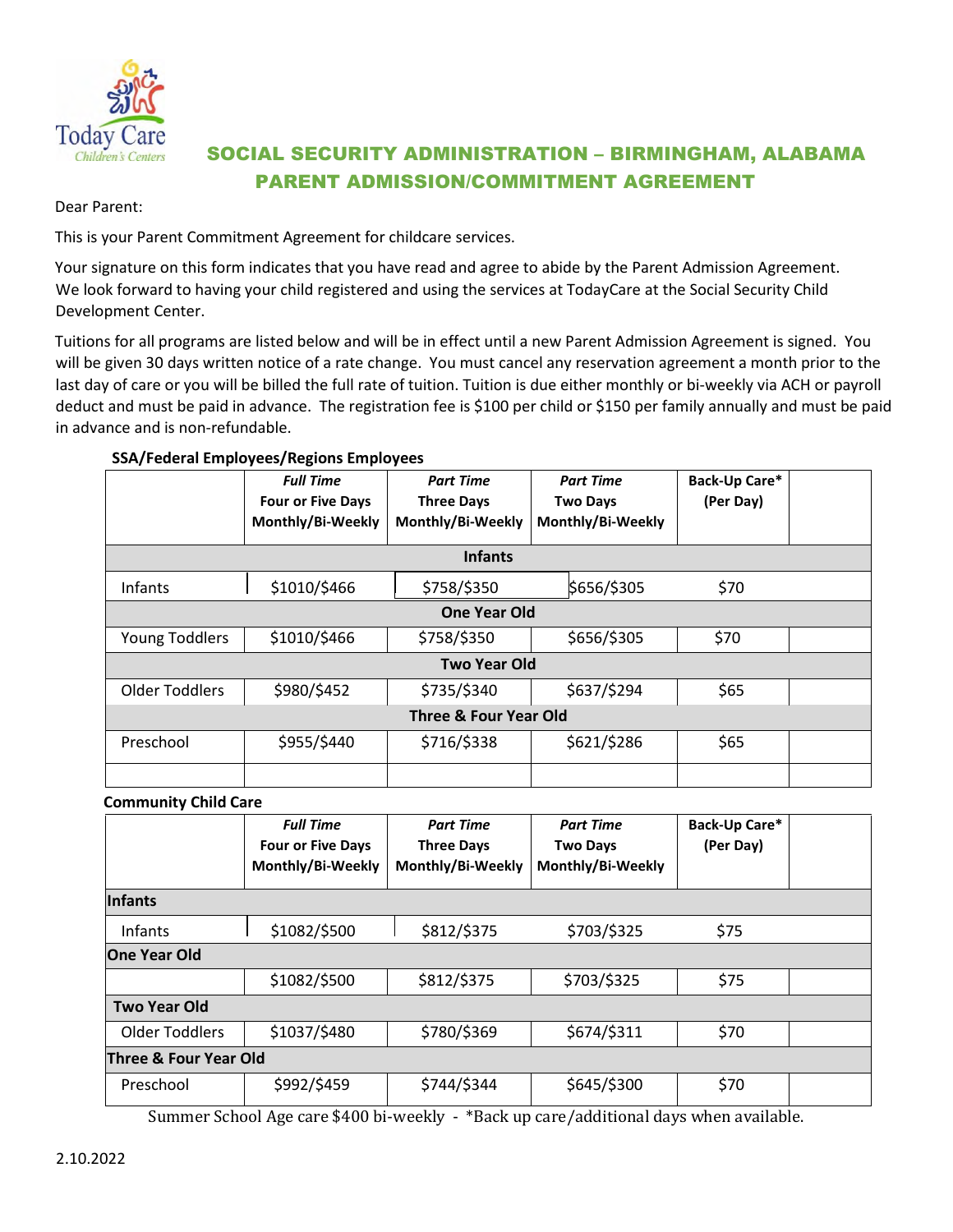

## SOCIAL SECURITY ADMINISTRATION – BIRMINGHAM, ALABAMA PARENT ADMISSION/COMMITMENT AGREEMENT

Dear Parent:

This is your Parent Commitment Agreement for childcare services.

Your signature on this form indicates that you have read and agree to abide by the Parent Admission Agreement. We look forward to having your child registered and using the services at TodayCare at the Social Security Child Development Center.

Tuitions for all programs are listed below and will be in effect until a new Parent Admission Agreement is signed. You will be given 30 days written notice of a rate change. You must cancel any reservation agreement a month prior to the last day of care or you will be billed the full rate of tuition. Tuition is due either monthly or bi-weekly via ACH or payroll deduct and must be paid in advance. The registration fee is \$100 per child or \$150 per family annually and must be paid in advance and is non-refundable.

## **SSA/Federal Employees/Regions Employees**

|                                  | <b>Full Time</b><br><b>Four or Five Days</b><br>Monthly/Bi-Weekly | <b>Part Time</b><br><b>Three Days</b><br>Monthly/Bi-Weekly | <b>Part Time</b><br><b>Two Days</b><br>Monthly/Bi-Weekly | Back-Up Care*<br>(Per Day) |  |
|----------------------------------|-------------------------------------------------------------------|------------------------------------------------------------|----------------------------------------------------------|----------------------------|--|
| <b>Infants</b>                   |                                                                   |                                                            |                                                          |                            |  |
| Infants                          | \$1010/\$466                                                      | \$758/\$350                                                | \$656/\$305                                              | \$70                       |  |
| One Year Old                     |                                                                   |                                                            |                                                          |                            |  |
| Young Toddlers                   | \$1010/\$466                                                      | \$758/\$350                                                | \$656/\$305                                              | \$70                       |  |
| <b>Two Year Old</b>              |                                                                   |                                                            |                                                          |                            |  |
| <b>Older Toddlers</b>            | \$980/\$452                                                       | \$735/\$340                                                | \$637/\$294                                              | \$65                       |  |
| <b>Three &amp; Four Year Old</b> |                                                                   |                                                            |                                                          |                            |  |
| Preschool                        | \$955/\$440                                                       | \$716/\$338                                                | \$621/\$286                                              | \$65                       |  |
|                                  |                                                                   |                                                            |                                                          |                            |  |

**Community Child Care**

|                       | <b>Full Time</b><br><b>Four or Five Days</b><br>Monthly/Bi-Weekly | <b>Part Time</b><br><b>Three Days</b><br>Monthly/Bi-Weekly | <b>Part Time</b><br><b>Two Days</b><br>Monthly/Bi-Weekly | Back-Up Care*<br>(Per Day) |  |
|-----------------------|-------------------------------------------------------------------|------------------------------------------------------------|----------------------------------------------------------|----------------------------|--|
| Infants               |                                                                   |                                                            |                                                          |                            |  |
| Infants               | \$1082/\$500                                                      | \$812/\$375                                                | \$703/\$325                                              | \$75                       |  |
| <b>One Year Old</b>   |                                                                   |                                                            |                                                          |                            |  |
|                       | \$1082/\$500                                                      | \$812/\$375                                                | \$703/\$325                                              | \$75                       |  |
| <b>Two Year Old</b>   |                                                                   |                                                            |                                                          |                            |  |
| Older Toddlers        | \$1037/\$480                                                      | \$780/\$369                                                | \$674/\$311                                              | \$70                       |  |
| Three & Four Year Old |                                                                   |                                                            |                                                          |                            |  |
| Preschool             | \$992/\$459                                                       | \$744/\$344                                                | \$645/\$300                                              | \$70                       |  |
|                       |                                                                   |                                                            |                                                          |                            |  |

Summer School Age care \$400 bi-weekly - \*Back up care/additional days when available.